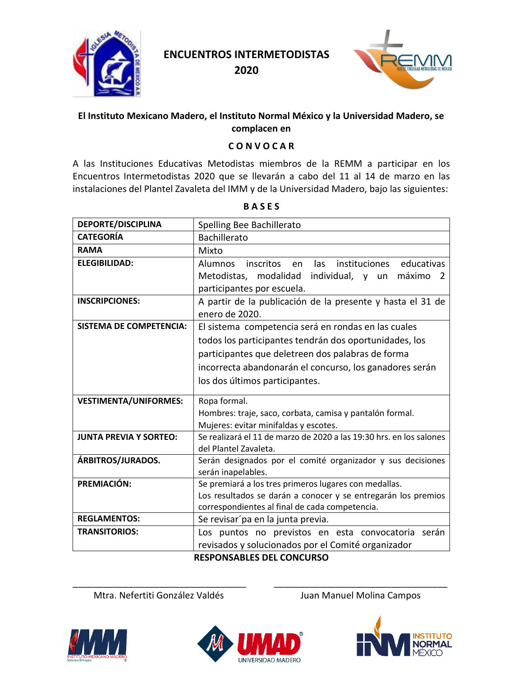

**2020**



#### **El Instituto Mexicano Madero, el Instituto Normal México y la Universidad Madero, se complacen en**

#### **C O N V O C A R**

A las Instituciones Educativas Metodistas miembros de la REMM a participar en los Encuentros Intermetodistas 2020 que se llevarán a cabo del 11 al 14 de marzo en las instalaciones del Plantel Zavaleta del IMM y de la Universidad Madero, bajo las siguientes:

| <b>DEPORTE/DISCIPLINA</b>      | Spelling Bee Bachillerato                                                                                                       |
|--------------------------------|---------------------------------------------------------------------------------------------------------------------------------|
| <b>CATEGORÍA</b>               | Bachillerato                                                                                                                    |
| <b>RAMA</b>                    | Mixto                                                                                                                           |
| <b>ELEGIBILIDAD:</b>           | educativas<br>inscritos en<br>las<br>instituciones<br>Alumnos<br>Metodistas,<br>modalidad<br>individual, y<br>máximo<br>un<br>2 |
|                                | participantes por escuela.                                                                                                      |
| <b>INSCRIPCIONES:</b>          | A partir de la publicación de la presente y hasta el 31 de                                                                      |
|                                | enero de 2020.                                                                                                                  |
| <b>SISTEMA DE COMPETENCIA:</b> | El sistema competencia será en rondas en las cuales                                                                             |
|                                | todos los participantes tendrán dos oportunidades, los                                                                          |
|                                | participantes que deletreen dos palabras de forma                                                                               |
|                                | incorrecta abandonarán el concurso, los ganadores serán                                                                         |
|                                | los dos últimos participantes.                                                                                                  |
| <b>VESTIMENTA/UNIFORMES:</b>   | Ropa formal.                                                                                                                    |
|                                | Hombres: traje, saco, corbata, camisa y pantalón formal.                                                                        |
|                                | Mujeres: evitar minifaldas y escotes.                                                                                           |
|                                |                                                                                                                                 |
|                                |                                                                                                                                 |
| <b>JUNTA PREVIA Y SORTEO:</b>  | Se realizará el 11 de marzo de 2020 a las 19:30 hrs. en los salones<br>del Plantel Zavaleta.                                    |
| ÁRBITROS/JURADOS.              | Serán designados por el comité organizador y sus decisiones                                                                     |
|                                | serán inapelables.                                                                                                              |
| PREMIACIÓN:                    | Se premiará a los tres primeros lugares con medallas.                                                                           |
|                                | Los resultados se darán a conocer y se entregarán los premios                                                                   |
|                                | correspondientes al final de cada competencia.                                                                                  |
| <b>REGLAMENTOS:</b>            | Se revisarí pa en la junta previa.                                                                                              |
| <b>TRANSITORIOS:</b>           | Los puntos no previstos en esta convocatoria serán                                                                              |
|                                | revisados y solucionados por el Comité organizador                                                                              |

**B A S E S**

**RESPONSABLES DEL CONCURSO**

\_\_\_\_\_\_\_\_\_\_\_\_\_\_\_\_\_\_\_\_\_\_\_\_\_\_\_\_\_\_\_\_\_\_ \_\_\_\_\_\_\_\_\_\_\_\_\_\_\_\_\_\_\_\_\_\_\_\_\_\_\_\_\_\_\_\_\_\_ Mtra. Nefertiti González Valdés **Juan Manuel Molina Campos** 





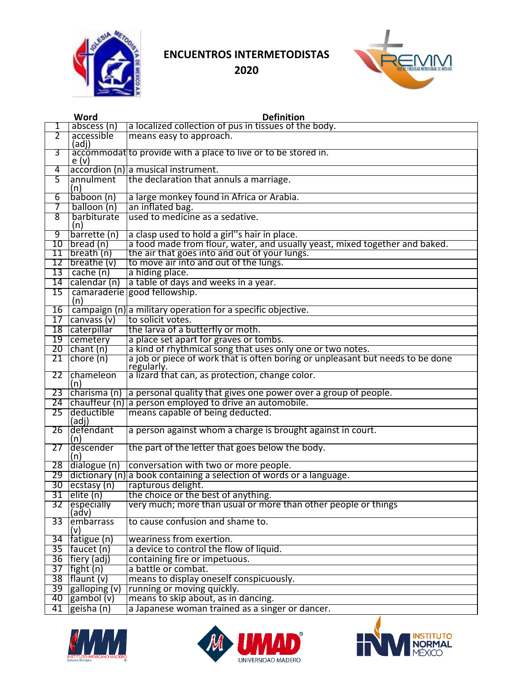



|    | Word                                     | <b>Definition</b>                                                                             |
|----|------------------------------------------|-----------------------------------------------------------------------------------------------|
| 1  | $ab$ scess $(n)$                         | a localized collection of pus in tissues of the body.                                         |
| 2  | accessible                               | means easy to approach.                                                                       |
|    | (adj)                                    |                                                                                               |
| 3  |                                          | accommodatito provide with a place to live or to be stored in.                                |
|    | e <sub>(v)</sub>                         |                                                                                               |
| 4  |                                          | accordion (n) a musical instrument.                                                           |
| 5  | annulment<br>(n)                         | the declaration that annuls a marriage.                                                       |
| 6  | baboon (n)                               | a large monkey found in Africa or Arabia.                                                     |
| 7  | balloon (n)                              | an inflated bag.                                                                              |
| 8  | barbiturate                              | lused to medicine as a sedative.                                                              |
|    | (n)                                      |                                                                                               |
| 9  | barrette (n)                             | a clasp used to hold a girl"s hair in place.                                                  |
| 10 | break (n)                                | a food made from flour, water, and usually yeast, mixed together and baked.                   |
| 11 | breakn                                   | the air that goes into and out of your lungs.                                                 |
|    | 12   breathe $(v)$                       | to move air into and out of the lungs.                                                        |
|    | $13$ cache (n)                           | a hiding place.                                                                               |
|    | 14 calendar (n)                          | a table of days and weeks in a year.                                                          |
| 15 |                                          | camaraderie good fellowship.                                                                  |
|    | (n)                                      |                                                                                               |
|    |                                          | 16 $\vert$ campaign (n) a military operation for a specific objective.                        |
|    | $17$ canvass (v)                         | to solicit votes.                                                                             |
|    | 18 caterpillar                           | the larva of a butterfly or moth.                                                             |
|    | 19 cemetery                              | a place set apart for graves or tombs.                                                        |
|    | $20$ chant (n)                           | a kind of rhythmical song that uses only one or two notes.                                    |
| 21 | $ $ chore $(n)$                          | a job or piece of work that is often boring or unpleasant but needs to be done<br>regularly.  |
|    | 22 chameleon<br>(n)                      | a lizard that can, as protection, change color.                                               |
|    | 23 $ charisma(n) $                       | a personal quality that gives one power over a group of people.                               |
|    |                                          | 24 chauffeur (n) a person employed to drive an automobile.                                    |
| 25 | deductible<br>(adj)                      | means capable of being deducted.                                                              |
| 26 | defendant<br>(n)                         | a person against whom a charge is brought against in court.                                   |
|    | 27 descender                             | the part of the letter that goes below the body.                                              |
|    | (n)                                      |                                                                                               |
|    | 28 dialogue (n)                          | conversation with two or more people.                                                         |
| 30 | $ e$ cstasy (n)                          | 29 dictionary (n) a book containing a selection of words or a language.<br>rapturous delight. |
|    | $31$ elite (n)                           | the choice or the best of anything.                                                           |
| 32 | <b>especially</b>                        | very much; more than usual or more than other people or things                                |
|    | (adv)                                    |                                                                                               |
| 33 | embarrass<br>(v)                         | to cause confusion and shame to.                                                              |
| 34 | Tatigue (n)                              | weariness from exertion.                                                                      |
|    | $35$   faucet (n)                        | a device to control the flow of liquid.                                                       |
|    | 36   fiery (adj)                         | containing fire or impetuous.                                                                 |
| 37 | $[$ fight (n)                            | a battle or combat.                                                                           |
|    | $38$   flaunt (v)                        | means to display oneself conspicuously.                                                       |
|    | 39 $ $ galloping $(v)$                   | running or moving quickly.                                                                    |
| 40 | $\mathsf{gambol}\left(\mathsf{v}\right)$ | means to skip about, as in dancing.                                                           |
| 41 | geisha (n)                               | a Japanese woman trained as a singer or dancer.                                               |





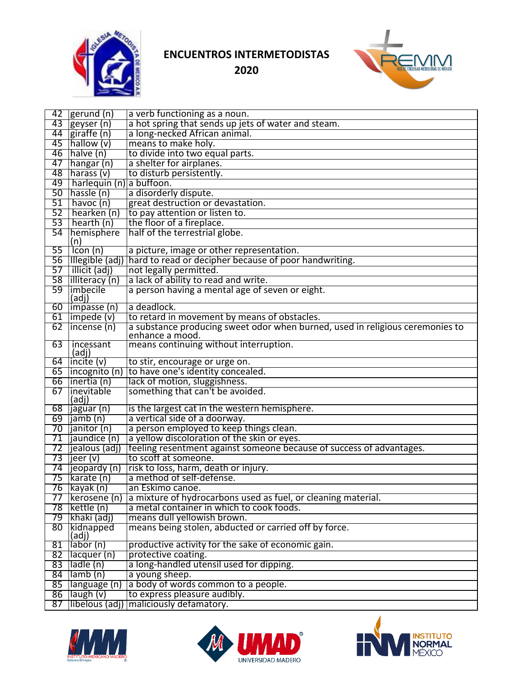



| 42       | gerund (n)                                                  | a verb functioning as a noun.                                                 |
|----------|-------------------------------------------------------------|-------------------------------------------------------------------------------|
|          | 43 geyser (n)                                               | a hot spring that sends up jets of water and steam.                           |
| 44       | giraffe (n)                                                 | a long-necked African animal.                                                 |
| 45       | [hallow(v)]                                                 | means to make holy.                                                           |
| 46       | $h$ alve $(n)$                                              | to divide into two equal parts.                                               |
| 47       | hangar (n)                                                  | a shelter for airplanes.                                                      |
| 48       | $\vert$ harass (v)                                          | to disturb persistently.                                                      |
| 49       | harlequin (n) a buffoon.                                    |                                                                               |
| 50       | Thassle (n)                                                 | a disorderly dispute.                                                         |
| 51       | havoc (n)                                                   | great destruction or devastation.                                             |
| 52       | hearken (n)                                                 | to pay attention or listen to.                                                |
| 53       | $ $ hearth $(n)$                                            | the floor of a fireplace.                                                     |
| 54       | hemisphere                                                  | half of the terrestrial globe.                                                |
| 55       | (n)                                                         |                                                                               |
|          | Icon (n)                                                    | a picture, image or other representation.                                     |
| 56       |                                                             | Illegible (adj)   hard to read or decipher because of poor handwriting.       |
| 57<br>58 | illicit (adj)                                               | not legally permitted.<br>a lack of ability to read and write.                |
| 59       | <b>Illiteracy</b> (n)<br><b>limbecile</b>                   | a person having a mental age of seven or eight.                               |
|          | (adj)                                                       |                                                                               |
|          | 60   impasse (n)                                            | a deadlock.                                                                   |
|          | $61$  impede (v)                                            | to retard in movement by means of obstacles.                                  |
| 62       | $ $ incense $(n)$                                           | a substance producing sweet odor when burned, used in religious ceremonies to |
|          |                                                             | enhance a mood.                                                               |
| 63       | incessant                                                   | means continuing without interruption.                                        |
|          | (adj)                                                       |                                                                               |
| 65       | 64 $ $ incite $(v)$                                         | to stir, encourage or urge on.                                                |
| 66       | incognito (n)                                               | to have one's identity concealed.                                             |
| 67       | inertia (n)<br>linevitable                                  | lack of motion, sluggishness.<br>something that can't be avoided.             |
|          | (adj)                                                       |                                                                               |
| 68       | jaguar (n)                                                  | is the largest cat in the western hemisphere.                                 |
| 69       | jamb (n)                                                    | a vertical side of a doorway.                                                 |
| 70       | janitor (n)                                                 | a person employed to keep things clean.                                       |
| 71       | jaundice (n)                                                | a yellow discoloration of the skin or eyes.                                   |
| 72       | iealous (adj)                                               | feeling resentment against someone because of success of advantages.          |
| 73       | jeer (v)                                                    | to scoff at someone.                                                          |
| 74       | $\vert$ jeopardy $\vert$ n)                                 | risk to loss, harm, death or injury.                                          |
| 75       | karate (n)                                                  | a method of self-defense.                                                     |
|          | 76 kayak (n)                                                | an Eskimo canoe.                                                              |
| 77       | [kerosene (n)                                               | a mixture of hydrocarbons used as fuel, or cleaning material.                 |
|          | 78 kettle (n)                                               | a metal container in which to cook foods.                                     |
|          | 79 khaki (adj)                                              | means dull yellowish brown.                                                   |
|          | 80 kidnapped                                                | means being stolen, abducted or carried off by force.                         |
|          | (adj)                                                       |                                                                               |
| 81       | $\sqrt{\text{labor}(\mathsf{n})}$                           | productive activity for the sake of economic gain.                            |
|          | 82   lacquer (n)                                            | protective coating.                                                           |
| 83       | $\overline{\phantom{a}}$ ladle $\overline{\phantom{a}}$ (n) | a long-handled utensil used for dipping.                                      |
|          | $84$ lamb (n)                                               | a young sheep.                                                                |
|          | 85   language (n)                                           | a body of words common to a people.                                           |
|          | $86$  laugh (v)                                             | to express pleasure audibly.                                                  |
| 87       | libelous (adj)                                              | maliciously defamatory.                                                       |





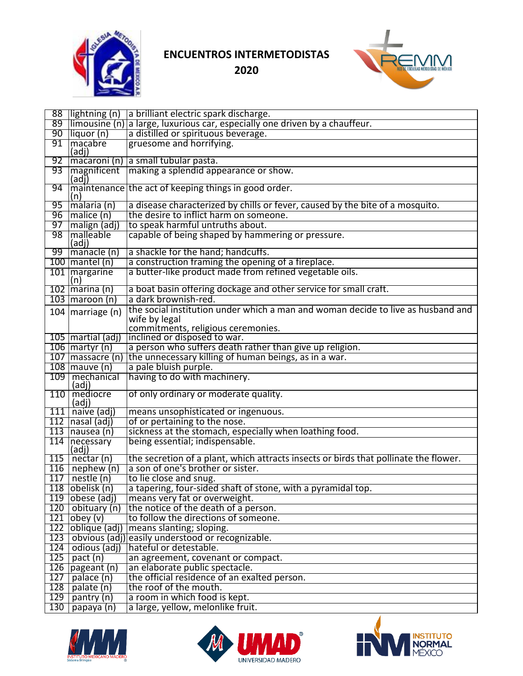



|     |                                       | 88   lightning (n) a brilliant electric spark discharge.                                    |
|-----|---------------------------------------|---------------------------------------------------------------------------------------------|
| 89  |                                       | $\lim_{\theta}$ limousine (n) a large, luxurious car, especially one driven by a chauffeur. |
| 90  | liquor (n)                            | a distilled or spirituous beverage.                                                         |
| 91  | macabre<br>(adi)                      | gruesome and horrifying.                                                                    |
| 92  |                                       | macaroni (n) a small tubular pasta.                                                         |
| 93  | (adj)                                 | Imagnificent   making a splendid appearance or show.                                        |
| 94  |                                       | maintenance the act of keeping things in good order.                                        |
|     | (n)                                   |                                                                                             |
| 95  | malaria (n)                           | a disease characterized by chills or fever, caused by the bite of a mosquito.               |
| 96  | $ $ malice $(n)$                      | the desire to inflict harm on someone.                                                      |
| 97  | malign (adj)                          | to speak harmful untruths about.                                                            |
| 98  | <b>Imalleable</b><br>$ (\text{adj}) $ | capable of being shaped by hammering or pressure.                                           |
| 99  | manacle (n)                           | a shackle for the hand; handcuffs.                                                          |
|     | 100   mantel (n)                      | a construction framing the opening of a fireplace.                                          |
|     | 101   margarine                       | a butter-like product made from refined vegetable oils.                                     |
|     | (n)                                   |                                                                                             |
|     | 102   marina (n)                      | a boat basin offering dockage and other service for small craft.                            |
|     | $103$ maroon (n)                      | a dark brownish-red.                                                                        |
|     | 104   marriage $(n)$                  | the social institution under which a man and woman decide to live as husband and            |
|     |                                       | wife by legal                                                                               |
|     |                                       | commitments, religious ceremonies.                                                          |
|     | 105   martial (adj)                   | inclined or disposed to war.<br>a person who suffers death rather than give up religion.    |
|     | $106$   martyr (n)                    | 107   massacre (n)   the unnecessary killing of human beings, as in a war.                  |
|     | $108$ mauve (n)                       | a pale bluish purple.                                                                       |
|     | 109   mechanical                      | having to do with machinery.                                                                |
|     | (adj)                                 |                                                                                             |
|     | 110 mediocre<br>(adj)                 | of only ordinary or moderate quality.                                                       |
|     | $111$ naive (adj)                     | means unsophisticated or ingenuous.                                                         |
|     | $112$  nasal (adj)                    | of or pertaining to the nose.                                                               |
|     | $113$ nausea (n)                      | sickness at the stomach, especially when loathing food.                                     |
|     | 114 necessary                         | being essential; indispensable.                                                             |
|     | (adj)<br>$115$ nectar (n)             | the secretion of a plant, which attracts insects or birds that pollinate the flower.        |
|     | $116$   nephew (n)                    | a son of one's brother or sister.                                                           |
|     | $117$ nestle (n)                      | to lie close and snug.                                                                      |
|     | $118$ obelisk (n)                     | a tapering, four-sided shaft of stone, with a pyramidal top.                                |
|     | $119$ obese (adj)                     | means very fat or overweight.                                                               |
|     | 120   obituary (n)                    | the notice of the death of a person.                                                        |
|     | $121$ obey (v)                        | to follow the directions of someone.                                                        |
|     | 122 oblique (adj)                     | means slanting; sloping.                                                                    |
|     |                                       | 123 obvious (adj) easily understood or recognizable.                                        |
|     | $124$   odious (adj)                  | hateful or detestable.                                                                      |
|     | $125$ pact (n)                        | an agreement, covenant or compact.                                                          |
|     | 126 pageant (n)                       | an elaborate public spectacle.                                                              |
| 127 | palace (n)                            | the official residence of an exalted person.                                                |
|     | $128$ palate (n)                      | the roof of the mouth.                                                                      |
|     | 129   pantry $(n)$                    | a room in which food is kept.                                                               |
| 130 | papaya (n)                            | a large, yellow, melonlike fruit.                                                           |





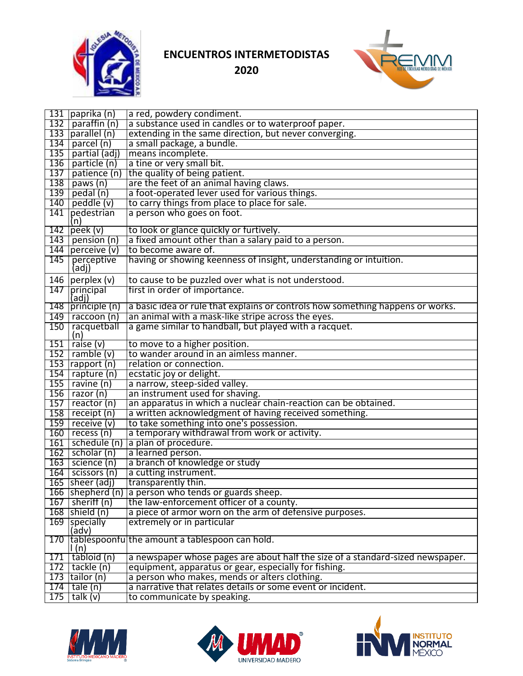



|     | 131   paprika (n)        | a red, powdery condiment.                                                      |
|-----|--------------------------|--------------------------------------------------------------------------------|
|     | 132   paraffin $(n)$     | a substance used in candles or to waterproof paper.                            |
|     | $133$ parallel (n)       | extending in the same direction, but never converging.                         |
| 134 | parcel (n)               | a small package, a bundle.                                                     |
| 135 | partial (adj)            | means incomplete.                                                              |
|     | 136   particle $(n)$     | a tine or very small bit.                                                      |
| 137 | patience (n)             | the quality of being patient.                                                  |
|     | $138$ paws (n)           | are the feet of an animal having claws.                                        |
|     | 139  pedal (n)           | a foot-operated lever used for various things.                                 |
|     | 140   peddle $(v)$       | to carry things from place to place for sale.                                  |
|     | 141 pedestrian           | a person who goes on foot.                                                     |
|     | (n)                      |                                                                                |
|     | $142$ peek (v)           | to look or glance quickly or furtively.                                        |
|     | 143   pension $(n)$      | a fixed amount other than a salary paid to a person.                           |
|     | 144   perceive $(v)$     | to become aware of.                                                            |
| 145 | perceptive<br>(adj)      | having or showing keenness of insight, understanding or intuition.             |
|     | 146   perplex $(v)$      | to cause to be puzzled over what is not understood.                            |
|     | 147 principal<br>(adj)   | first in order of importance.                                                  |
|     | 148 principle (n)        | a basic idea or rule that explains or controls how something happens or works. |
|     | $149$   raccoon (n)      | an animal with a mask-like stripe across the eyes.                             |
|     | 150   racquetball<br>(n) | a game similar to handball, but played with a racquet.                         |
|     | $151$ raise (v)          | to move to a higher position.                                                  |
|     | $152$ ramble (v)         | to wander around in an aimless manner.                                         |
|     | $153$ rapport (n)        | relation or connection.                                                        |
|     | $154$ rapture (n)        | ecstatic joy or delight.                                                       |
|     | $155$ ravine (n)         | a narrow, steep-sided valley.                                                  |
|     | $156$ razor (n)          | an instrument used for shaving.                                                |
|     | $157$ reactor (n)        | an apparatus in which a nuclear chain-reaction can be obtained.                |
|     | 158   $receipt(n)$       | a written acknowledgment of having received something.                         |
|     | $159$ receive (v)        | to take something into one's possession.                                       |
|     | $160$ recess (n)         | a temporary withdrawal from work or activity.                                  |
|     | 161   schedule (n)       | a plan of procedure.                                                           |
|     | $162$ scholar (n)        | a learned person.                                                              |
|     | $163$ science (n)        | a branch of knowledge or study                                                 |
|     | $164$ scissors (n)       | a cutting instrument.                                                          |
|     | 165   sheer (adj)        | transparently thin.                                                            |
|     |                          | 166 Shepherd (n) a person who tends or guards sheep.                           |
|     | $167$ sheriff (n)        | the law-enforcement officer of a county.                                       |
|     | $168$ shield (n)         | a piece of armor worn on the arm of defensive purposes.                        |
|     | 169 specially<br>(adv)   | extremely or in particular                                                     |
| 170 | $\mathsf{I}(\mathsf{n})$ | tablespoonfu the amount a tablespoon can hold.                                 |
| 171 | tabloid (n)              | a newspaper whose pages are about half the size of a standard-sized newspaper. |
|     | $172$ tackle (n)         | equipment, apparatus or gear, especially for fishing.                          |
|     | $173$ tailor (n)         | a person who makes, mends or alters clothing.                                  |
| 174 | tale (n)                 | a narrative that relates details or some event or incident.                    |
| 175 | talk $(v)$               | to communicate by speaking.                                                    |